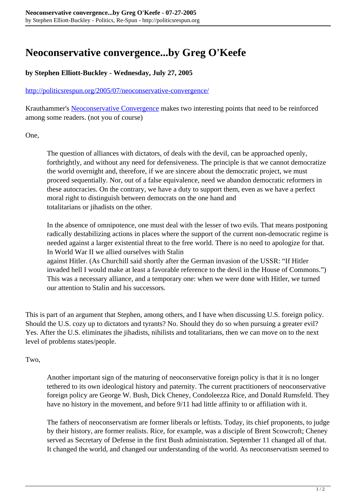## **Neoconservative convergence...by Greg O'Keefe**

## **by Stephen Elliott-Buckley - Wednesday, July 27, 2005**

## <http://politicsrespun.org/2005/07/neoconservative-convergence/>

Krauthammer's [Neoconservative Convergence](http://www.commentarymagazine.com/article.asp?aid=12001023_1) makes two interesting points that need to be reinforced among some readers. (not you of course)

One,

The question of alliances with dictators, of deals with the devil, can be approached openly, forthrightly, and without any need for defensiveness. The principle is that we cannot democratize the world overnight and, therefore, if we are sincere about the democratic project, we must proceed sequentially. Nor, out of a false equivalence, need we abandon democratic reformers in these autocracies. On the contrary, we have a duty to support them, even as we have a perfect moral right to distinguish between democrats on the one hand and totalitarians or jihadists on the other.

In the absence of omnipotence, one must deal with the lesser of two evils. That means postponing radically destabilizing actions in places where the support of the current non-democratic regime is needed against a larger existential threat to the free world. There is no need to apologize for that. In World War II we allied ourselves with Stalin

against Hitler. (As Churchill said shortly after the German invasion of the USSR: "If Hitler invaded hell I would make at least a favorable reference to the devil in the House of Commons.") This was a necessary alliance, and a temporary one: when we were done with Hitler, we turned our attention to Stalin and his successors.

This is part of an argument that Stephen, among others, and I have when discussing U.S. foreign policy. Should the U.S. cozy up to dictators and tyrants? No. Should they do so when pursuing a greater evil? Yes. After the U.S. eliminates the jihadists, nihilists and totalitarians, then we can move on to the next level of problems states/people.

## Two,

Another important sign of the maturing of neoconservative foreign policy is that it is no longer tethered to its own ideological history and paternity. The current practitioners of neoconservative foreign policy are George W. Bush, Dick Cheney, Condoleezza Rice, and Donald Rumsfeld. They have no history in the movement, and before 9/11 had little affinity to or affiliation with it.

The fathers of neoconservatism are former liberals or leftists. Today, its chief proponents, to judge by their history, are former realists. Rice, for example, was a disciple of Brent Scowcroft; Cheney served as Secretary of Defense in the first Bush administration. September 11 changed all of that. It changed the world, and changed our understanding of the world. As neoconservatism seemed to